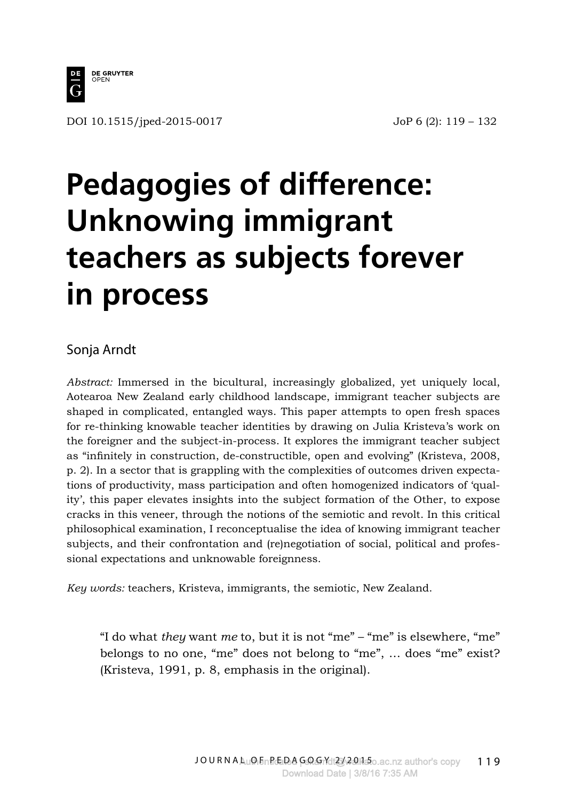

DOI 10.1515/jped-2015-0017 JoP 6 (2): 119 – 132

# **Pedagogies of difference: Unknowing immigrant teachers as subjects forever in process**

#### Sonja Arndt

*Abstract:* Immersed in the bicultural, increasingly globalized, yet uniquely local, Aotearoa New Zealand early childhood landscape, immigrant teacher subjects are shaped in complicated, entangled ways. This paper attempts to open fresh spaces for re-thinking knowable teacher identities by drawing on Julia Kristeva's work on the foreigner and the subject-in-process. It explores the immigrant teacher subject as "infinitely in construction, de-constructible, open and evolving" (Kristeva, 2008, p. 2). In a sector that is grappling with the complexities of outcomes driven expectations of productivity, mass participation and often homogenized indicators of 'quality', this paper elevates insights into the subject formation of the Other, to expose cracks in this veneer, through the notions of the semiotic and revolt. In this critical philosophical examination, I reconceptualise the idea of knowing immigrant teacher subjects, and their confrontation and (re)negotiation of social, political and professional expectations and unknowable foreignness.

*Key words:* teachers, Kristeva, immigrants, the semiotic, New Zealand.

"I do what *they* want *me* to, but it is not "me" – "me" is elsewhere, "me" belongs to no one, "me" does not belong to "me", … does "me" exist? (Kristeva, 1991, p. 8, emphasis in the original).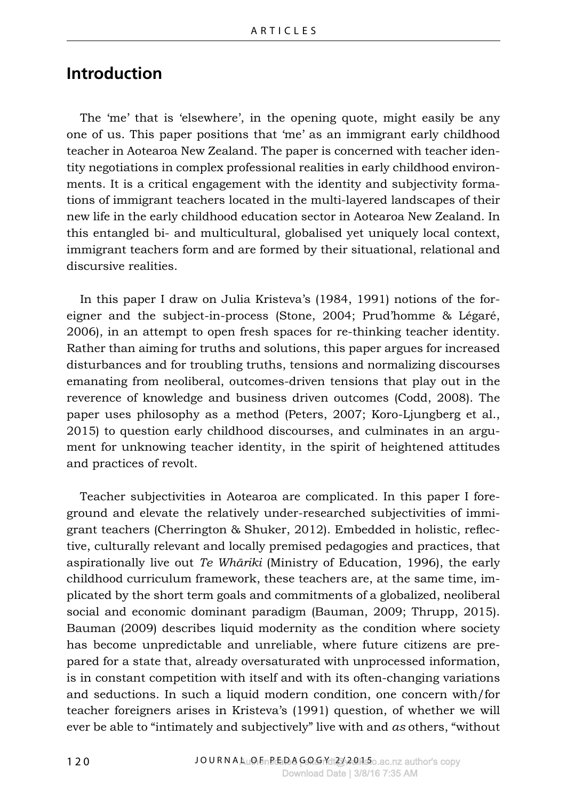#### **Introduction**

The 'me' that is 'elsewhere', in the opening quote, might easily be any one of us. This paper positions that 'me' as an immigrant early childhood teacher in Aotearoa New Zealand. The paper is concerned with teacher identity negotiations in complex professional realities in early childhood environments. It is a critical engagement with the identity and subjectivity formations of immigrant teachers located in the multi-layered landscapes of their new life in the early childhood education sector in Aotearoa New Zealand. In this entangled bi- and multicultural, globalised yet uniquely local context, immigrant teachers form and are formed by their situational, relational and discursive realities.

In this paper I draw on Julia Kristeva's (1984, 1991) notions of the foreigner and the subject-in-process (Stone, 2004; Prud'homme & Légaré, 2006), in an attempt to open fresh spaces for re-thinking teacher identity. Rather than aiming for truths and solutions, this paper argues for increased disturbances and for troubling truths, tensions and normalizing discourses emanating from neoliberal, outcomes-driven tensions that play out in the reverence of knowledge and business driven outcomes (Codd, 2008). The paper uses philosophy as a method (Peters, 2007; Koro-Ljungberg et al., 2015) to question early childhood discourses, and culminates in an argument for unknowing teacher identity, in the spirit of heightened attitudes and practices of revolt.

Teacher subjectivities in Aotearoa are complicated. In this paper I foreground and elevate the relatively under-researched subjectivities of immigrant teachers (Cherrington & Shuker, 2012). Embedded in holistic, reflective, culturally relevant and locally premised pedagogies and practices, that aspirationally live out *Te Whāriki* (Ministry of Education, 1996), the early childhood curriculum framework, these teachers are, at the same time, implicated by the short term goals and commitments of a globalized, neoliberal social and economic dominant paradigm (Bauman, 2009; Thrupp, 2015). Bauman (2009) describes liquid modernity as the condition where society has become unpredictable and unreliable, where future citizens are prepared for a state that, already oversaturated with unprocessed information, is in constant competition with itself and with its often-changing variations and seductions. In such a liquid modern condition, one concern with/for teacher foreigners arises in Kristeva's (1991) question, of whether we will ever be able to "intimately and subjectively" live with and *as* others, "without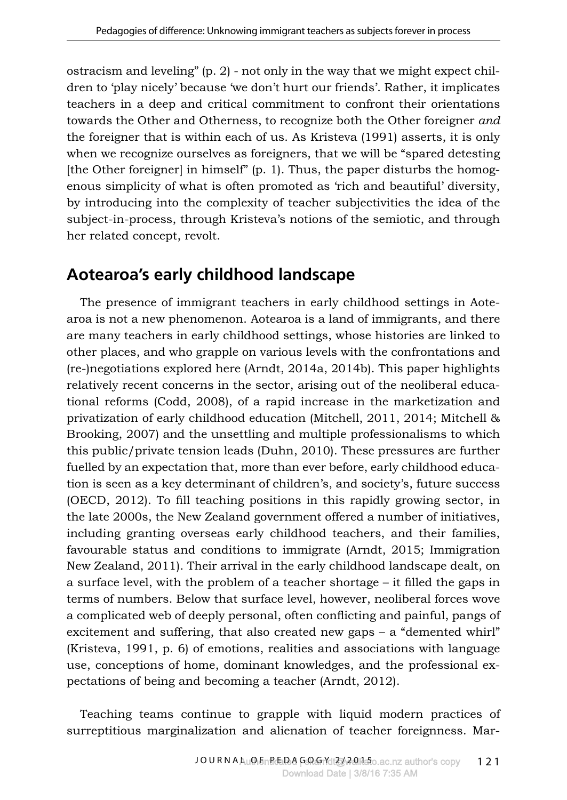ostracism and leveling"  $(p, 2)$  - not only in the way that we might expect children to 'play nicely' because 'we don't hurt our friends'. Rather, it implicates teachers in a deep and critical commitment to confront their orientations towards the Other and Otherness, to recognize both the Other foreigner *and* the foreigner that is within each of us. As Kristeva (1991) asserts, it is only when we recognize ourselves as foreigners, that we will be "spared detesting [the Other foreigner] in himself" (p. 1). Thus, the paper disturbs the homogenous simplicity of what is often promoted as 'rich and beautiful' diversity, by introducing into the complexity of teacher subjectivities the idea of the subject-in-process, through Kristeva's notions of the semiotic, and through her related concept, revolt.

# **Aotearoa's early childhood landscape**

The presence of immigrant teachers in early childhood settings in Aotearoa is not a new phenomenon. Aotearoa is a land of immigrants, and there are many teachers in early childhood settings, whose histories are linked to other places, and who grapple on various levels with the confrontations and (re-)negotiations explored here (Arndt, 2014a, 2014b). This paper highlights relatively recent concerns in the sector, arising out of the neoliberal educational reforms (Codd, 2008), of a rapid increase in the marketization and privatization of early childhood education (Mitchell, 2011, 2014; Mitchell & Brooking, 2007) and the unsettling and multiple professionalisms to which this public/private tension leads (Duhn, 2010). These pressures are further fuelled by an expectation that, more than ever before, early childhood education is seen as a key determinant of children's, and society's, future success (OECD, 2012). To fill teaching positions in this rapidly growing sector, in the late 2000s, the New Zealand government offered a number of initiatives, including granting overseas early childhood teachers, and their families, favourable status and conditions to immigrate (Arndt, 2015; Immigration New Zealand, 2011). Their arrival in the early childhood landscape dealt, on a surface level, with the problem of a teacher shortage – it filled the gaps in terms of numbers. Below that surface level, however, neoliberal forces wove a complicated web of deeply personal, often conflicting and painful, pangs of excitement and suffering, that also created new gaps – a "demented whirl" (Kristeva, 1991, p. 6) of emotions, realities and associations with language use, conceptions of home, dominant knowledges, and the professional expectations of being and becoming a teacher (Arndt, 2012).

Teaching teams continue to grapple with liquid modern practices of surreptitious marginalization and alienation of teacher foreignness. Mar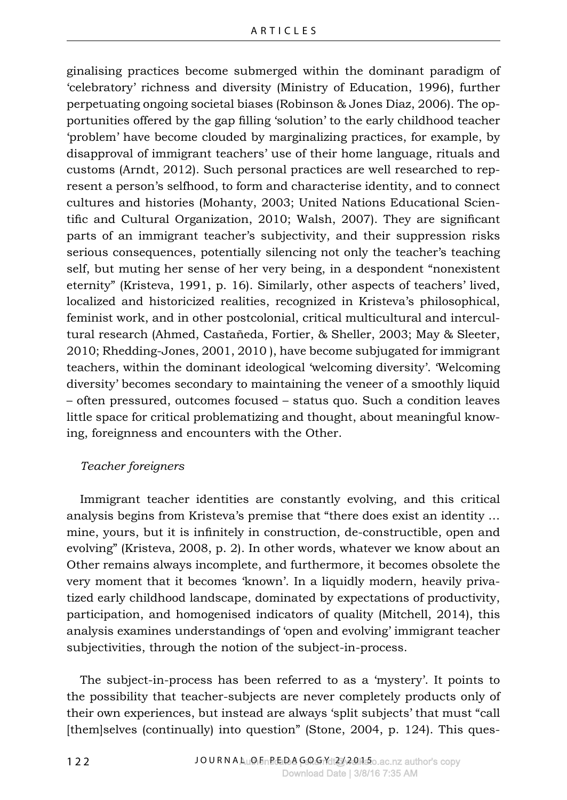ginalising practices become submerged within the dominant paradigm of 'celebratory' richness and diversity (Ministry of Education, 1996), further perpetuating ongoing societal biases (Robinson & Jones Diaz, 2006). The opportunities offered by the gap filling 'solution' to the early childhood teacher 'problem' have become clouded by marginalizing practices, for example, by disapproval of immigrant teachers' use of their home language, rituals and customs (Arndt, 2012). Such personal practices are well researched to represent a person's selfhood, to form and characterise identity, and to connect cultures and histories (Mohanty, 2003; United Nations Educational Scientific and Cultural Organization, 2010; Walsh, 2007). They are significant parts of an immigrant teacher's subjectivity, and their suppression risks serious consequences, potentially silencing not only the teacher's teaching self, but muting her sense of her very being, in a despondent "nonexistent eternity" (Kristeva, 1991, p. 16). Similarly, other aspects of teachers' lived, localized and historicized realities, recognized in Kristeva's philosophical, feminist work, and in other postcolonial, critical multicultural and intercultural research (Ahmed, Castañeda, Fortier, & Sheller, 2003; May & Sleeter, 2010; Rhedding-Jones, 2001, 2010 ), have become subjugated for immigrant teachers, within the dominant ideological 'welcoming diversity'. 'Welcoming diversity' becomes secondary to maintaining the veneer of a smoothly liquid – often pressured, outcomes focused – status quo. Such a condition leaves little space for critical problematizing and thought, about meaningful knowing, foreignness and encounters with the Other.

#### *Teacher foreigners*

Immigrant teacher identities are constantly evolving, and this critical analysis begins from Kristeva's premise that "there does exist an identity … mine, yours, but it is infinitely in construction, de-constructible, open and evolving" (Kristeva, 2008, p. 2). In other words, whatever we know about an Other remains always incomplete, and furthermore, it becomes obsolete the very moment that it becomes 'known'. In a liquidly modern, heavily privatized early childhood landscape, dominated by expectations of productivity, participation, and homogenised indicators of quality (Mitchell, 2014), this analysis examines understandings of 'open and evolving' immigrant teacher subjectivities, through the notion of the subject-in-process.

The subject-in-process has been referred to as a 'mystery'. It points to the possibility that teacher-subjects are never completely products only of their own experiences, but instead are always 'split subjects' that must "call [them]selves (continually) into question" (Stone, 2004, p. 124). This ques-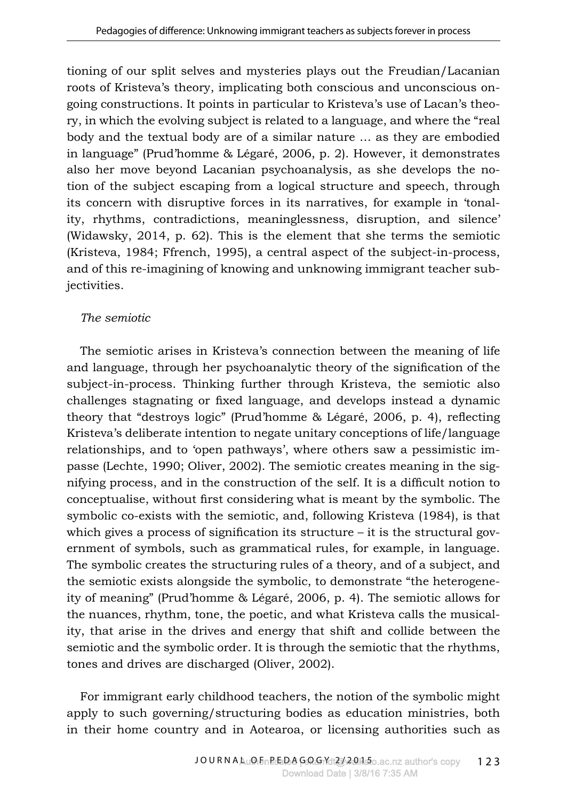tioning of our split selves and mysteries plays out the Freudian/Lacanian roots of Kristeva's theory, implicating both conscious and unconscious ongoing constructions. It points in particular to Kristeva's use of Lacan's theory, in which the evolving subject is related to a language, and where the "real body and the textual body are of a similar nature … as they are embodied in language" (Prud'homme & Légaré, 2006, p. 2). However, it demonstrates also her move beyond Lacanian psychoanalysis, as she develops the notion of the subject escaping from a logical structure and speech, through its concern with disruptive forces in its narratives, for example in 'tonality, rhythms, contradictions, meaninglessness, disruption, and silence' (Widawsky, 2014, p. 62). This is the element that she terms the semiotic (Kristeva, 1984; Ffrench, 1995), a central aspect of the subject-in-process, and of this re-imagining of knowing and unknowing immigrant teacher subjectivities.

#### *The semiotic*

The semiotic arises in Kristeva's connection between the meaning of life and language, through her psychoanalytic theory of the signification of the subject-in-process. Thinking further through Kristeva, the semiotic also challenges stagnating or fixed language, and develops instead a dynamic theory that "destroys logic" (Prud'homme & Légaré, 2006, p. 4), reflecting Kristeva's deliberate intention to negate unitary conceptions of life/language relationships, and to 'open pathways', where others saw a pessimistic impasse (Lechte, 1990; Oliver, 2002). The semiotic creates meaning in the signifying process, and in the construction of the self. It is a difficult notion to conceptualise, without first considering what is meant by the symbolic. The symbolic co-exists with the semiotic, and, following Kristeva (1984), is that which gives a process of signification its structure  $-$  it is the structural government of symbols, such as grammatical rules, for example, in language. The symbolic creates the structuring rules of a theory, and of a subject, and the semiotic exists alongside the symbolic, to demonstrate "the heterogeneity of meaning" (Prud'homme & Légaré, 2006, p. 4). The semiotic allows for the nuances, rhythm, tone, the poetic, and what Kristeva calls the musicality, that arise in the drives and energy that shift and collide between the semiotic and the symbolic order. It is through the semiotic that the rhythms, tones and drives are discharged (Oliver, 2002).

For immigrant early childhood teachers, the notion of the symbolic might apply to such governing/structuring bodies as education ministries, both in their home country and in Aotearoa, or licensing authorities such as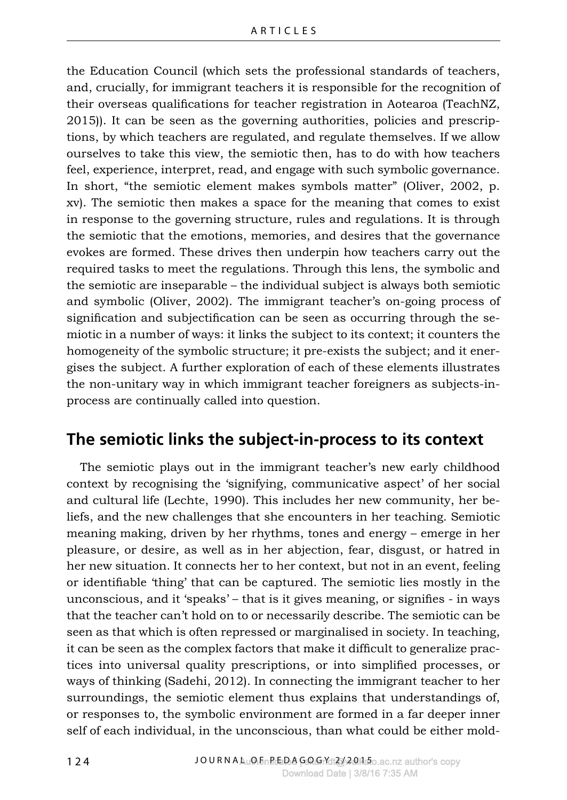the Education Council (which sets the professional standards of teachers, and, crucially, for immigrant teachers it is responsible for the recognition of their overseas qualifications for teacher registration in Aotearoa (TeachNZ, 2015)). It can be seen as the governing authorities, policies and prescriptions, by which teachers are regulated, and regulate themselves. If we allow ourselves to take this view, the semiotic then, has to do with how teachers feel, experience, interpret, read, and engage with such symbolic governance. In short, "the semiotic element makes symbols matter" (Oliver, 2002, p. xv). The semiotic then makes a space for the meaning that comes to exist in response to the governing structure, rules and regulations. It is through the semiotic that the emotions, memories, and desires that the governance evokes are formed. These drives then underpin how teachers carry out the required tasks to meet the regulations. Through this lens, the symbolic and the semiotic are inseparable – the individual subject is always both semiotic and symbolic (Oliver, 2002). The immigrant teacher's on-going process of signification and subjectification can be seen as occurring through the semiotic in a number of ways: it links the subject to its context; it counters the homogeneity of the symbolic structure; it pre-exists the subject; and it energises the subject. A further exploration of each of these elements illustrates the non-unitary way in which immigrant teacher foreigners as subjects-inprocess are continually called into question.

## **The semiotic links the subject-in-process to its context**

The semiotic plays out in the immigrant teacher's new early childhood context by recognising the 'signifying, communicative aspect' of her social and cultural life (Lechte, 1990). This includes her new community, her beliefs, and the new challenges that she encounters in her teaching. Semiotic meaning making, driven by her rhythms, tones and energy – emerge in her pleasure, or desire, as well as in her abjection, fear, disgust, or hatred in her new situation. It connects her to her context, but not in an event, feeling or identifiable 'thing' that can be captured. The semiotic lies mostly in the unconscious, and it 'speaks' – that is it gives meaning, or signifies - in ways that the teacher can't hold on to or necessarily describe. The semiotic can be seen as that which is often repressed or marginalised in society. In teaching, it can be seen as the complex factors that make it difficult to generalize practices into universal quality prescriptions, or into simplified processes, or ways of thinking (Sadehi, 2012). In connecting the immigrant teacher to her surroundings, the semiotic element thus explains that understandings of, or responses to, the symbolic environment are formed in a far deeper inner self of each individual, in the unconscious, than what could be either mold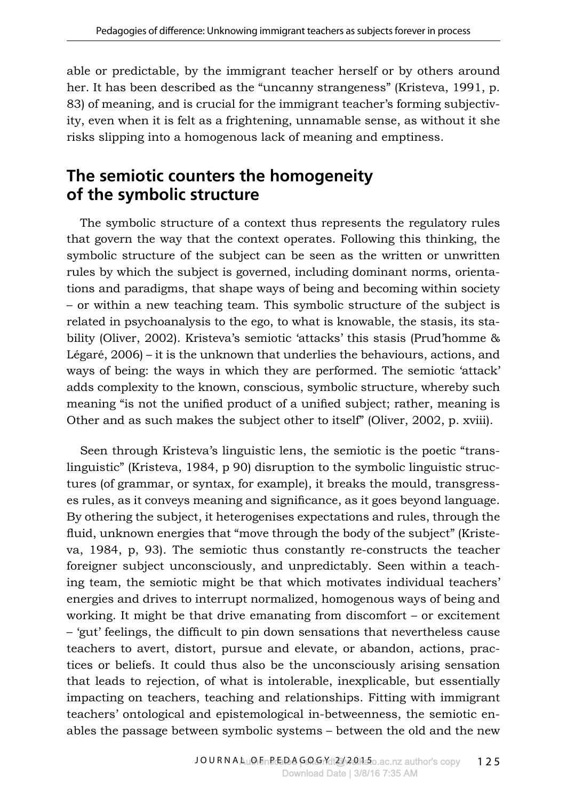able or predictable, by the immigrant teacher herself or by others around her. It has been described as the "uncanny strangeness" (Kristeva, 1991, p. 83) of meaning, and is crucial for the immigrant teacher's forming subjectivity, even when it is felt as a frightening, unnamable sense, as without it she risks slipping into a homogenous lack of meaning and emptiness.

# **The semiotic counters the homogeneity of the symbolic structure**

The symbolic structure of a context thus represents the regulatory rules that govern the way that the context operates. Following this thinking, the symbolic structure of the subject can be seen as the written or unwritten rules by which the subject is governed, including dominant norms, orientations and paradigms, that shape ways of being and becoming within society – or within a new teaching team. This symbolic structure of the subject is related in psychoanalysis to the ego, to what is knowable, the stasis, its stability (Oliver, 2002). Kristeva's semiotic 'attacks' this stasis (Prud'homme & Légaré, 2006) – it is the unknown that underlies the behaviours, actions, and ways of being: the ways in which they are performed. The semiotic 'attack' adds complexity to the known, conscious, symbolic structure, whereby such meaning "is not the unified product of a unified subject; rather, meaning is Other and as such makes the subject other to itself" (Oliver, 2002, p. xviii).

Seen through Kristeva's linguistic lens, the semiotic is the poetic "translinguistic" (Kristeva, 1984, p 90) disruption to the symbolic linguistic structures (of grammar, or syntax, for example), it breaks the mould, transgresses rules, as it conveys meaning and significance, as it goes beyond language. By othering the subject, it heterogenises expectations and rules, through the fluid, unknown energies that "move through the body of the subject" (Kristeva, 1984, p, 93). The semiotic thus constantly re-constructs the teacher foreigner subject unconsciously, and unpredictably. Seen within a teaching team, the semiotic might be that which motivates individual teachers' energies and drives to interrupt normalized, homogenous ways of being and working. It might be that drive emanating from discomfort – or excitement – 'gut' feelings, the difficult to pin down sensations that nevertheless cause teachers to avert, distort, pursue and elevate, or abandon, actions, practices or beliefs. It could thus also be the unconsciously arising sensation that leads to rejection, of what is intolerable, inexplicable, but essentially impacting on teachers, teaching and relationships. Fitting with immigrant teachers' ontological and epistemological in-betweenness, the semiotic enables the passage between symbolic systems – between the old and the new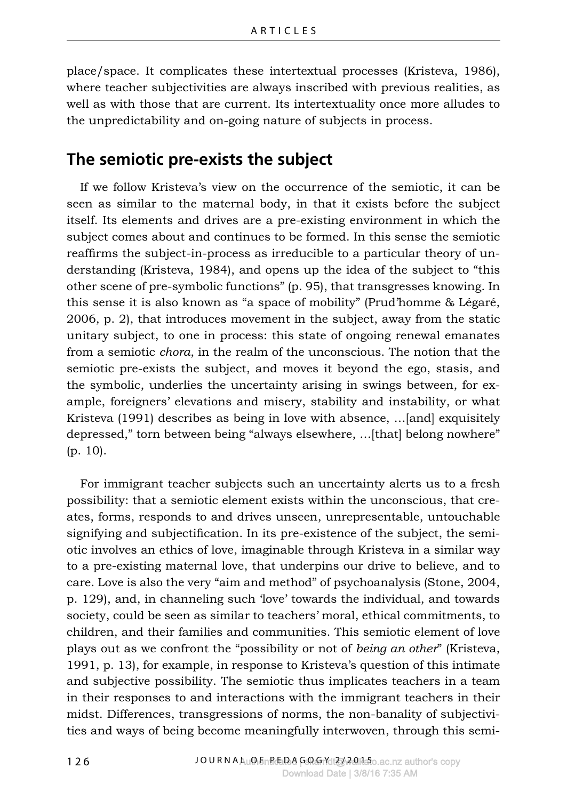place/space. It complicates these intertextual processes (Kristeva, 1986), where teacher subjectivities are always inscribed with previous realities, as well as with those that are current. Its intertextuality once more alludes to the unpredictability and on-going nature of subjects in process.

#### **The semiotic pre-exists the subject**

If we follow Kristeva's view on the occurrence of the semiotic, it can be seen as similar to the maternal body, in that it exists before the subject itself. Its elements and drives are a pre-existing environment in which the subject comes about and continues to be formed. In this sense the semiotic reaffirms the subject-in-process as irreducible to a particular theory of understanding (Kristeva, 1984), and opens up the idea of the subject to "this other scene of pre-symbolic functions" (p. 95), that transgresses knowing. In this sense it is also known as "a space of mobility" (Prud'homme & Légaré, 2006, p. 2), that introduces movement in the subject, away from the static unitary subject, to one in process: this state of ongoing renewal emanates from a semiotic *chora*, in the realm of the unconscious. The notion that the semiotic pre-exists the subject, and moves it beyond the ego, stasis, and the symbolic, underlies the uncertainty arising in swings between, for example, foreigners' elevations and misery, stability and instability, or what Kristeva (1991) describes as being in love with absence, …[and] exquisitely depressed," torn between being "always elsewhere, …[that] belong nowhere" (p. 10).

For immigrant teacher subjects such an uncertainty alerts us to a fresh possibility: that a semiotic element exists within the unconscious, that creates, forms, responds to and drives unseen, unrepresentable, untouchable signifying and subjectification. In its pre-existence of the subject, the semiotic involves an ethics of love, imaginable through Kristeva in a similar way to a pre-existing maternal love, that underpins our drive to believe, and to care. Love is also the very "aim and method" of psychoanalysis (Stone, 2004, p. 129), and, in channeling such 'love' towards the individual, and towards society, could be seen as similar to teachers' moral, ethical commitments, to children, and their families and communities. This semiotic element of love plays out as we confront the "possibility or not of *being an other*" (Kristeva, 1991, p. 13), for example, in response to Kristeva's question of this intimate and subjective possibility. The semiotic thus implicates teachers in a team in their responses to and interactions with the immigrant teachers in their midst. Differences, transgressions of norms, the non-banality of subjectivities and ways of being become meaningfully interwoven, through this semi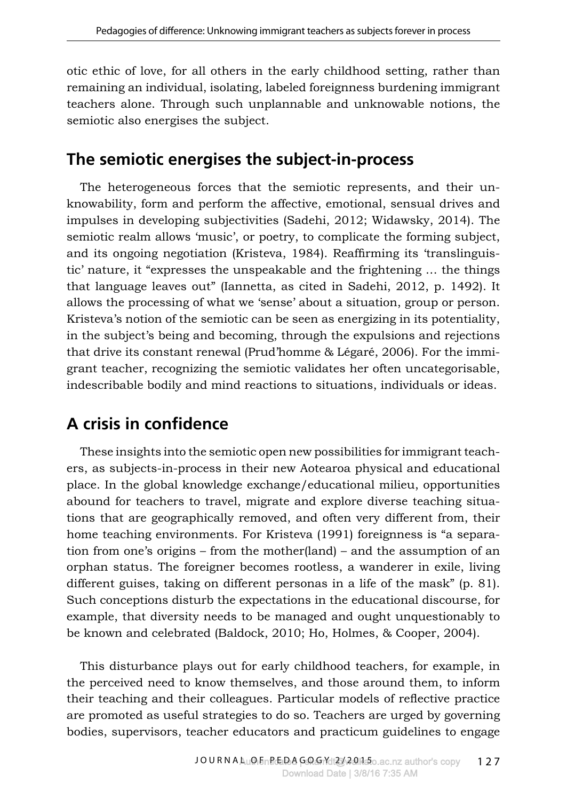otic ethic of love, for all others in the early childhood setting, rather than remaining an individual, isolating, labeled foreignness burdening immigrant teachers alone. Through such unplannable and unknowable notions, the semiotic also energises the subject.

# **The semiotic energises the subject-in-process**

The heterogeneous forces that the semiotic represents, and their unknowability, form and perform the affective, emotional, sensual drives and impulses in developing subjectivities (Sadehi, 2012; Widawsky, 2014). The semiotic realm allows 'music', or poetry, to complicate the forming subject, and its ongoing negotiation (Kristeva, 1984). Reaffirming its 'translinguistic' nature, it "expresses the unspeakable and the frightening … the things that language leaves out" (Iannetta, as cited in Sadehi, 2012, p. 1492). It allows the processing of what we 'sense' about a situation, group or person. Kristeva's notion of the semiotic can be seen as energizing in its potentiality, in the subject's being and becoming, through the expulsions and rejections that drive its constant renewal (Prud'homme & Légaré, 2006). For the immigrant teacher, recognizing the semiotic validates her often uncategorisable, indescribable bodily and mind reactions to situations, individuals or ideas.

# **A crisis in confidence**

These insights into the semiotic open new possibilities for immigrant teachers, as subjects-in-process in their new Aotearoa physical and educational place. In the global knowledge exchange/educational milieu, opportunities abound for teachers to travel, migrate and explore diverse teaching situations that are geographically removed, and often very different from, their home teaching environments. For Kristeva (1991) foreignness is "a separation from one's origins – from the mother(land) – and the assumption of an orphan status. The foreigner becomes rootless, a wanderer in exile, living different guises, taking on different personas in a life of the mask" (p. 81). Such conceptions disturb the expectations in the educational discourse, for example, that diversity needs to be managed and ought unquestionably to be known and celebrated (Baldock, 2010; Ho, Holmes, & Cooper, 2004).

This disturbance plays out for early childhood teachers, for example, in the perceived need to know themselves, and those around them, to inform their teaching and their colleagues. Particular models of reflective practice are promoted as useful strategies to do so. Teachers are urged by governing bodies, supervisors, teacher educators and practicum guidelines to engage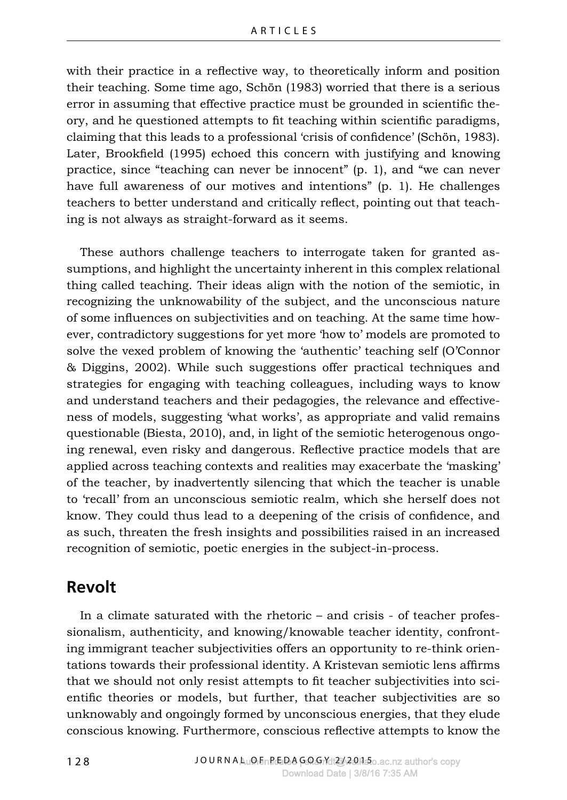with their practice in a reflective way, to theoretically inform and position their teaching. Some time ago, Schön (1983) worried that there is a serious error in assuming that effective practice must be grounded in scientific theory, and he questioned attempts to fit teaching within scientific paradigms, claiming that this leads to a professional 'crisis of confidence' (Schön, 1983). Later, Brookfield (1995) echoed this concern with justifying and knowing practice, since "teaching can never be innocent" (p. 1), and "we can never have full awareness of our motives and intentions" (p. 1). He challenges teachers to better understand and critically reflect, pointing out that teaching is not always as straight-forward as it seems.

These authors challenge teachers to interrogate taken for granted assumptions, and highlight the uncertainty inherent in this complex relational thing called teaching. Their ideas align with the notion of the semiotic, in recognizing the unknowability of the subject, and the unconscious nature of some influences on subjectivities and on teaching. At the same time however, contradictory suggestions for yet more 'how to' models are promoted to solve the vexed problem of knowing the 'authentic' teaching self (O'Connor & Diggins, 2002). While such suggestions offer practical techniques and strategies for engaging with teaching colleagues, including ways to know and understand teachers and their pedagogies, the relevance and effectiveness of models, suggesting 'what works', as appropriate and valid remains questionable (Biesta, 2010), and, in light of the semiotic heterogenous ongoing renewal, even risky and dangerous. Reflective practice models that are applied across teaching contexts and realities may exacerbate the 'masking' of the teacher, by inadvertently silencing that which the teacher is unable to 'recall' from an unconscious semiotic realm, which she herself does not know. They could thus lead to a deepening of the crisis of confidence, and as such, threaten the fresh insights and possibilities raised in an increased recognition of semiotic, poetic energies in the subject-in-process.

## **Revolt**

In a climate saturated with the rhetoric – and crisis - of teacher professionalism, authenticity, and knowing/knowable teacher identity, confronting immigrant teacher subjectivities offers an opportunity to re-think orientations towards their professional identity. A Kristevan semiotic lens affirms that we should not only resist attempts to fit teacher subjectivities into scientific theories or models, but further, that teacher subjectivities are so unknowably and ongoingly formed by unconscious energies, that they elude conscious knowing. Furthermore, conscious reflective attempts to know the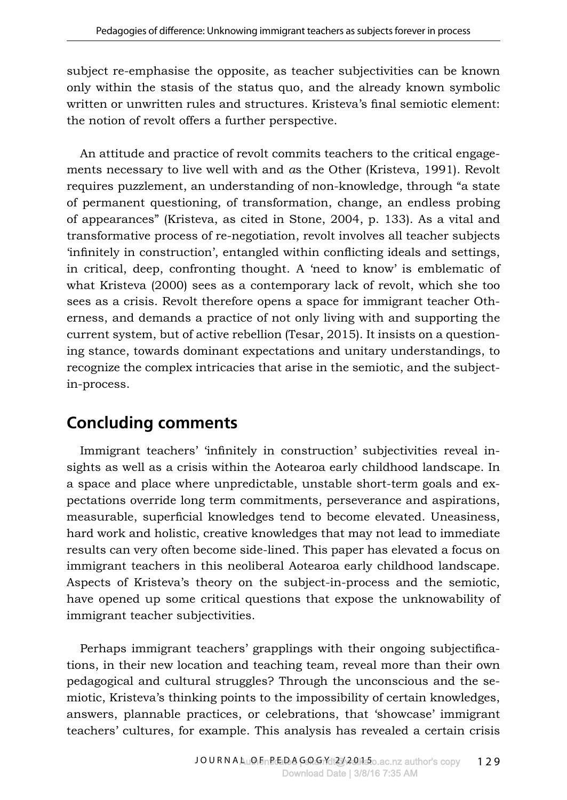subject re-emphasise the opposite, as teacher subjectivities can be known only within the stasis of the status quo, and the already known symbolic written or unwritten rules and structures. Kristeva's final semiotic element: the notion of revolt offers a further perspective.

An attitude and practice of revolt commits teachers to the critical engagements necessary to live well with and *a*s the Other (Kristeva, 1991). Revolt requires puzzlement, an understanding of non-knowledge, through "a state of permanent questioning, of transformation, change, an endless probing of appearances" (Kristeva, as cited in Stone, 2004, p. 133). As a vital and transformative process of re-negotiation, revolt involves all teacher subjects 'infinitely in construction', entangled within conflicting ideals and settings, in critical, deep, confronting thought. A 'need to know' is emblematic of what Kristeva (2000) sees as a contemporary lack of revolt, which she too sees as a crisis. Revolt therefore opens a space for immigrant teacher Otherness, and demands a practice of not only living with and supporting the current system, but of active rebellion (Tesar, 2015). It insists on a questioning stance, towards dominant expectations and unitary understandings, to recognize the complex intricacies that arise in the semiotic, and the subjectin-process.

## **Concluding comments**

Immigrant teachers' 'infinitely in construction' subjectivities reveal insights as well as a crisis within the Aotearoa early childhood landscape. In a space and place where unpredictable, unstable short-term goals and expectations override long term commitments, perseverance and aspirations, measurable, superficial knowledges tend to become elevated. Uneasiness, hard work and holistic, creative knowledges that may not lead to immediate results can very often become side-lined. This paper has elevated a focus on immigrant teachers in this neoliberal Aotearoa early childhood landscape. Aspects of Kristeva's theory on the subject-in-process and the semiotic, have opened up some critical questions that expose the unknowability of immigrant teacher subjectivities.

Perhaps immigrant teachers' grapplings with their ongoing subjectifications, in their new location and teaching team, reveal more than their own pedagogical and cultural struggles? Through the unconscious and the semiotic, Kristeva's thinking points to the impossibility of certain knowledges, answers, plannable practices, or celebrations, that 'showcase' immigrant teachers' cultures, for example. This analysis has revealed a certain crisis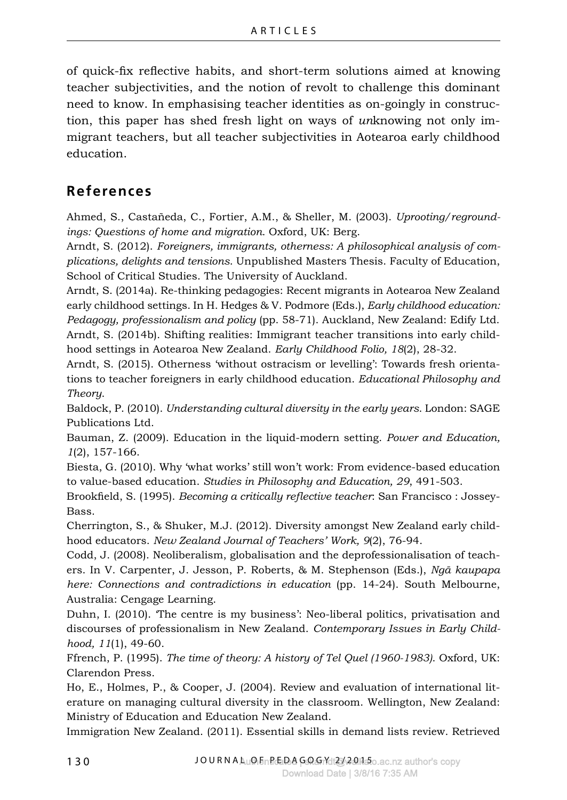of quick-fix reflective habits, and short-term solutions aimed at knowing teacher subjectivities, and the notion of revolt to challenge this dominant need to know. In emphasising teacher identities as on-goingly in construction, this paper has shed fresh light on ways of *un*knowing not only immigrant teachers, but all teacher subjectivities in Aotearoa early childhood education.

### **References**

Ahmed, S., Castañeda, C., Fortier, A.M., & Sheller, M. (2003). *Uprooting/regroundings: Questions of home and migration*. Oxford, UK: Berg.

Arndt, S. (2012). *Foreigners, immigrants, otherness: A philosophical analysis of complications, delights and tensions*. Unpublished Masters Thesis. Faculty of Education, School of Critical Studies. The University of Auckland.

Arndt, S. (2014a). Re-thinking pedagogies: Recent migrants in Aotearoa New Zealand early childhood settings. In H. Hedges & V. Podmore (Eds.), *Early childhood education: Pedagogy, professionalism and policy* (pp. 58-71). Auckland, New Zealand: Edify Ltd. Arndt, S. (2014b). Shifting realities: Immigrant teacher transitions into early childhood settings in Aotearoa New Zealand. *Early Childhood Folio, 18*(2), 28-32.

Arndt, S. (2015). Otherness 'without ostracism or levelling': Towards fresh orientations to teacher foreigners in early childhood education. *Educational Philosophy and Theory*.

Baldock, P. (2010). *Understanding cultural diversity in the early years*. London: SAGE Publications Ltd.

Bauman, Z. (2009). Education in the liquid-modern setting. *Power and Education, 1*(2), 157-166.

Biesta, G. (2010). Why 'what works' still won't work: From evidence-based education to value-based education. *Studies in Philosophy and Education, 29*, 491-503.

Brookfield, S. (1995). *Becoming a critically reflective teacher*: San Francisco : Jossey-Bass.

Cherrington, S., & Shuker, M.J. (2012). Diversity amongst New Zealand early childhood educators. *New Zealand Journal of Teachers' Work, 9*(2), 76-94.

Codd, J. (2008). Neoliberalism, globalisation and the deprofessionalisation of teachers. In V. Carpenter, J. Jesson, P. Roberts, & M. Stephenson (Eds.), *Ngā kaupapa here: Connections and contradictions in education* (pp. 14-24). South Melbourne, Australia: Cengage Learning.

Duhn, I. (2010). 'The centre is my business': Neo-liberal politics, privatisation and discourses of professionalism in New Zealand. *Contemporary Issues in Early Childhood, 11*(1), 49-60.

Ffrench, P. (1995). *The time of theory: A history of Tel Quel (1960-1983)*. Oxford, UK: Clarendon Press.

Ho, E., Holmes, P., & Cooper, J. (2004). Review and evaluation of international literature on managing cultural diversity in the classroom. Wellington, New Zealand: Ministry of Education and Education New Zealand.

Immigration New Zealand. (2011). Essential skills in demand lists review. Retrieved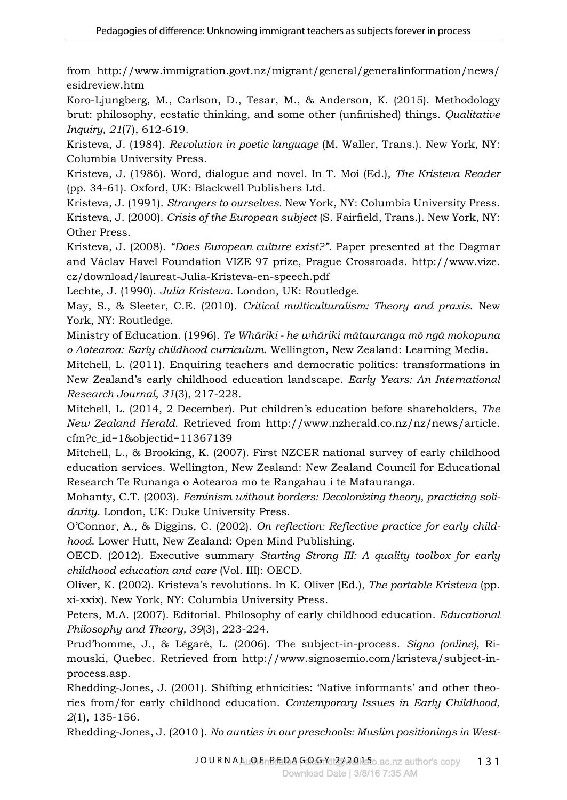from http://www.immigration.govt.nz/migrant/general/generalinformation/news/ esidreview.htm

Koro-Ljungberg, M., Carlson, D., Tesar, M., & Anderson, K. (2015). Methodology brut: philosophy, ecstatic thinking, and some other (unfinished) things. *Qualitative Inquiry, 21*(7), 612-619.

Kristeva, J. (1984). *Revolution in poetic language* (M. Waller, Trans.). New York, NY: Columbia University Press.

Kristeva, J. (1986). Word, dialogue and novel. In T. Moi (Ed.), *The Kristeva Reader* (pp. 34-61). Oxford, UK: Blackwell Publishers Ltd.

Kristeva, J. (1991). *Strangers to ourselves.* New York, NY: Columbia University Press. Kristeva, J. (2000). *Crisis of the European subject* (S. Fairfield, Trans.). New York, NY: Other Press.

Kristeva, J. (2008). *"Does European culture exist?"*. Paper presented at the Dagmar and Václav Havel Foundation VIZE 97 prize, Prague Crossroads. http://www.vize. cz/download/laureat-Julia-Kristeva-en-speech.pdf

Lechte, J. (1990). *Julia Kristeva*. London, UK: Routledge.

May, S., & Sleeter, C.E. (2010). *Critical multiculturalism: Theory and praxis*. New York, NY: Routledge.

Ministry of Education. (1996). *Te Whāriki - he whāriki mātauranga mō ngā mokopuna o Aotearoa: Early childhood curriculum*. Wellington, New Zealand: Learning Media.

Mitchell, L. (2011). Enquiring teachers and democratic politics: transformations in New Zealand's early childhood education landscape. *Early Years: An International Research Journal, 31*(3), 217-228.

Mitchell, L. (2014, 2 December). Put children's education before shareholders, *The New Zealand Herald*. Retrieved from http://www.nzherald.co.nz/nz/news/article. cfm?c\_id=1&objectid=11367139

Mitchell, L., & Brooking, K. (2007). First NZCER national survey of early childhood education services. Wellington, New Zealand: New Zealand Council for Educational Research Te Runanga o Aotearoa mo te Rangahau i te Matauranga.

Mohanty, C.T. (2003). *Feminism without borders: Decolonizing theory, practicing solidarity*. London, UK: Duke University Press.

O'Connor, A., & Diggins, C. (2002). *On reflection: Reflective practice for early childhood*. Lower Hutt, New Zealand: Open Mind Publishing.

OECD. (2012). Executive summary *Starting Strong III: A quality toolbox for early childhood education and care* (Vol. III): OECD.

Oliver, K. (2002). Kristeva's revolutions. In K. Oliver (Ed.), *The portable Kristeva* (pp. xi-xxix). New York, NY: Columbia University Press.

Peters, M.A. (2007). Editorial. Philosophy of early childhood education. *Educational Philosophy and Theory, 39*(3), 223-224.

Prud'homme, J., & Légaré, L. (2006). The subject-in-process. *Signo (online),* Rimouski, Quebec. Retrieved from http://www.signosemio.com/kristeva/subject-inprocess.asp.

Rhedding-Jones, J. (2001). Shifting ethnicities: 'Native informants' and other theories from/for early childhood education. *Contemporary Issues in Early Childhood, 2*(1), 135-156.

Rhedding-Jones, J. (2010 ). *No aunties in our preschools: Muslim positionings in West-*